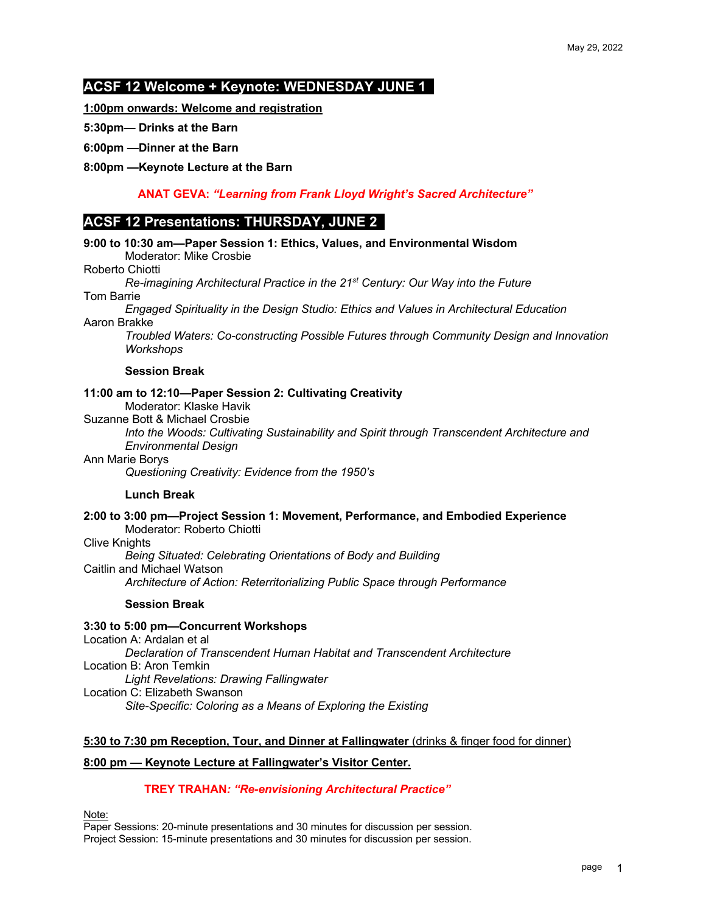## **ACSF 12 Welcome + Keynote: WEDNESDAY JUNE 1 .**

**1:00pm onwards: Welcome and registration** 

**5:30pm— Drinks at the Barn**

#### **6:00pm —Dinner at the Barn**

**8:00pm —Keynote Lecture at the Barn**

 **ANAT GEVA:** *"Learning from Frank Lloyd Wright's Sacred Architecture"*

# **ACSF 12 Presentations: THURSDAY, JUNE 2 .**

| 9:00 to 10:30 am-Paper Session 1: Ethics, Values, and Environmental Wisdom<br>Moderator: Mike Crosbie                                                                                                                                                                                                                      |  |  |  |
|----------------------------------------------------------------------------------------------------------------------------------------------------------------------------------------------------------------------------------------------------------------------------------------------------------------------------|--|--|--|
| Roberto Chiotti                                                                                                                                                                                                                                                                                                            |  |  |  |
| Re-imagining Architectural Practice in the 21 <sup>st</sup> Century: Our Way into the Future<br>Tom Barrie                                                                                                                                                                                                                 |  |  |  |
| Engaged Spirituality in the Design Studio: Ethics and Values in Architectural Education<br>Aaron Brakke                                                                                                                                                                                                                    |  |  |  |
| Troubled Waters: Co-constructing Possible Futures through Community Design and Innovation<br>Workshops                                                                                                                                                                                                                     |  |  |  |
| <b>Session Break</b>                                                                                                                                                                                                                                                                                                       |  |  |  |
| 11:00 am to 12:10-Paper Session 2: Cultivating Creativity<br>Moderator: Klaske Havik<br>Suzanne Bott & Michael Crosbie<br>Into the Woods: Cultivating Sustainability and Spirit through Transcendent Architecture and                                                                                                      |  |  |  |
| <b>Environmental Design</b><br>Ann Marie Borys<br>Questioning Creativity: Evidence from the 1950's                                                                                                                                                                                                                         |  |  |  |
| <b>Lunch Break</b>                                                                                                                                                                                                                                                                                                         |  |  |  |
| 2:00 to 3:00 pm-Project Session 1: Movement, Performance, and Embodied Experience<br>Moderator: Roberto Chiotti<br><b>Clive Knights</b><br>Being Situated: Celebrating Orientations of Body and Building<br>Caitlin and Michael Watson<br>Architecture of Action: Reterritorializing Public Space through Performance      |  |  |  |
| <b>Session Break</b>                                                                                                                                                                                                                                                                                                       |  |  |  |
| 3:30 to 5:00 pm-Concurrent Workshops<br>Location A: Ardalan et al<br>Declaration of Transcendent Human Habitat and Transcendent Architecture<br>Location B: Aron Temkin<br><b>Light Revelations: Drawing Fallingwater</b><br>Location C: Elizabeth Swanson<br>Site-Specific: Coloring as a Means of Exploring the Existing |  |  |  |
| 5:30 to 7:30 pm Reception, Tour, and Dinner at Fallingwater (drinks & finger food for dinner)                                                                                                                                                                                                                              |  |  |  |
| 8:00 pm - Keynote Lecture at Fallingwater's Visitor Center.                                                                                                                                                                                                                                                                |  |  |  |
| TOPM TO ALLAM KOLL LIBRARY AND A STREET STOLEN WITH                                                                                                                                                                                                                                                                        |  |  |  |

 **TREY TRAHAN***: "Re-envisioning Architectural Practice"*

Note:

Paper Sessions: 20-minute presentations and 30 minutes for discussion per session. Project Session: 15-minute presentations and 30 minutes for discussion per session.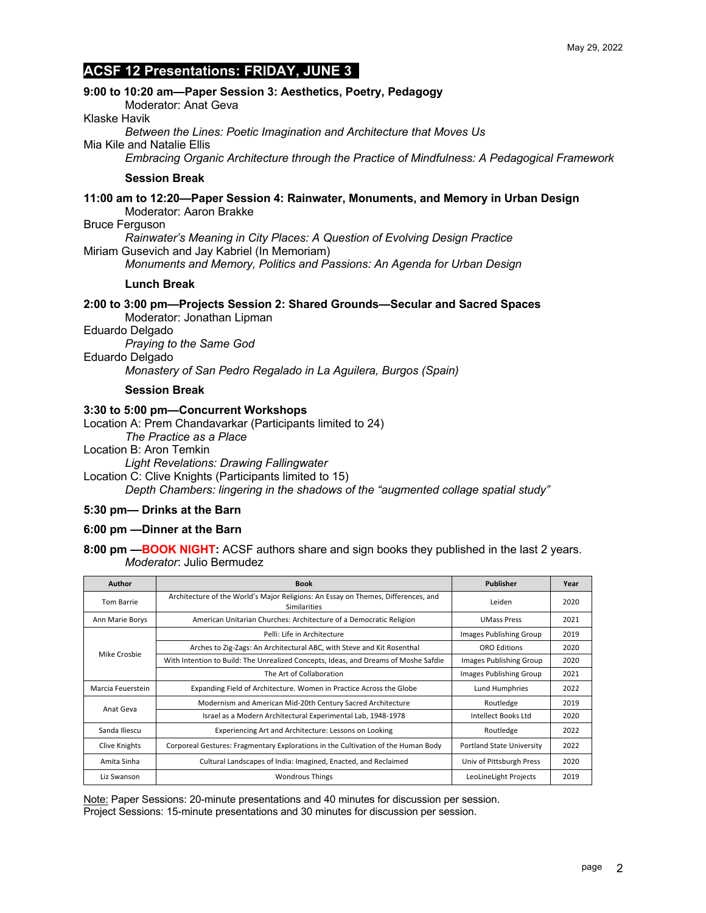# **ACSF 12 Presentations: FRIDAY, JUNE 3 .**

### **9:00 to 10:20 am—Paper Session 3: Aesthetics, Poetry, Pedagogy**

Moderator: Anat Geva

Klaske Havik

*Between the Lines: Poetic Imagination and Architecture that Moves Us*

Mia Kile and Natalie Ellis

*Embracing Organic Architecture through the Practice of Mindfulness: A Pedagogical Framework*

#### **Session Break**

**11:00 am to 12:20—Paper Session 4: Rainwater, Monuments, and Memory in Urban Design** Moderator: Aaron Brakke

#### Bruce Ferguson

*Rainwater's Meaning in City Places: A Question of Evolving Design Practice* Miriam Gusevich and Jay Kabriel (In Memoriam)

*Monuments and Memory, Politics and Passions: An Agenda for Urban Design*

#### **Lunch Break**

# **2:00 to 3:00 pm—Projects Session 2: Shared Grounds—Secular and Sacred Spaces**

Moderator: Jonathan Lipman

Eduardo Delgado

*Praying to the Same God*

Eduardo Delgado

*Monastery of San Pedro Regalado in La Aguilera, Burgos (Spain)*

**Session Break**

#### **3:30 to 5:00 pm—Concurrent Workshops**

Location A: Prem Chandavarkar (Participants limited to 24)

*The Practice as a Place*

Location B: Aron Temkin

*Light Revelations: Drawing Fallingwater*

Location C: Clive Knights (Participants limited to 15)

*Depth Chambers: lingering in the shadows of the "augmented collage spatial study"*

#### **5:30 pm— Drinks at the Barn**

#### **6:00 pm —Dinner at the Barn**

**8:00 pm —BOOK NIGHT:** ACSF authors share and sign books they published in the last 2 years. *Moderator*: Julio Bermudez

| Author            | <b>Book</b>                                                                                       | Publisher                 | Year |
|-------------------|---------------------------------------------------------------------------------------------------|---------------------------|------|
| Tom Barrie        | Architecture of the World's Major Religions: An Essay on Themes, Differences, and<br>Similarities | Leiden                    | 2020 |
| Ann Marie Borys   | American Unitarian Churches: Architecture of a Democratic Religion                                | <b>UMass Press</b>        | 2021 |
| Mike Crosbie      | Pelli: Life in Architecture                                                                       | Images Publishing Group   | 2019 |
|                   | Arches to Zig-Zags: An Architectural ABC, with Steve and Kit Rosenthal                            | <b>ORO Editions</b>       | 2020 |
|                   | With Intention to Build: The Unrealized Concepts, Ideas, and Dreams of Moshe Safdie               | Images Publishing Group   | 2020 |
|                   | The Art of Collaboration                                                                          | Images Publishing Group   | 2021 |
| Marcia Feuerstein | Expanding Field of Architecture. Women in Practice Across the Globe                               | Lund Humphries            | 2022 |
| Anat Geva         | Modernism and American Mid-20th Century Sacred Architecture                                       | Routledge                 | 2019 |
|                   | Israel as a Modern Architectural Experimental Lab, 1948-1978                                      | Intellect Books Ltd       | 2020 |
| Sanda Iliescu     | Experiencing Art and Architecture: Lessons on Looking                                             | Routledge                 | 2022 |
| Clive Knights     | Corporeal Gestures: Fragmentary Explorations in the Cultivation of the Human Body                 | Portland State University | 2022 |
| Amita Sinha       | Cultural Landscapes of India: Imagined, Enacted, and Reclaimed                                    | Univ of Pittsburgh Press  | 2020 |
| Liz Swanson       | <b>Wondrous Things</b>                                                                            | LeoLineLight Projects     | 2019 |

Note: Paper Sessions: 20-minute presentations and 40 minutes for discussion per session. Project Sessions: 15-minute presentations and 30 minutes for discussion per session.